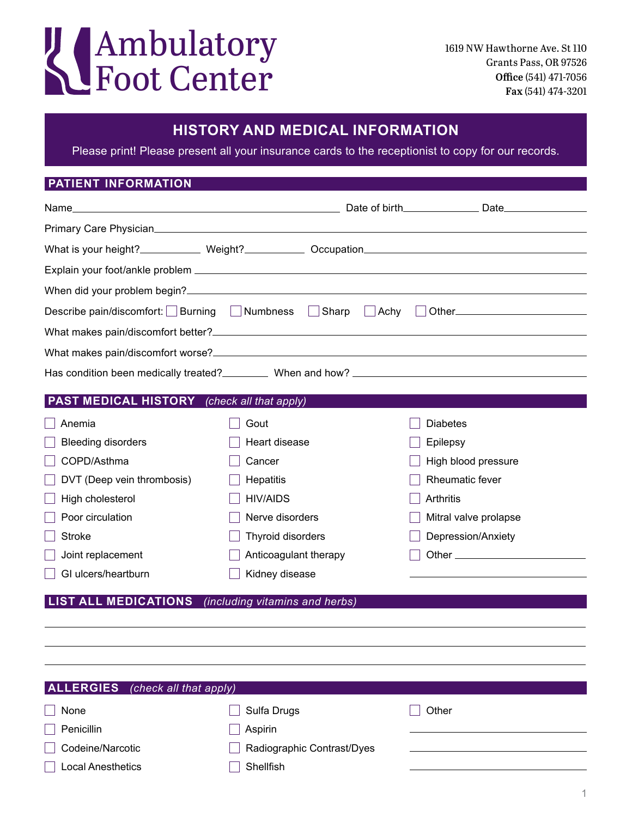## Ambulatory Foot Center

1619 NW Hawthorne Ave. St 110 Grants Pass, OR 97526 Office (541) 471-7056 Fax (541) 474-3201

## **HISTORY AND MEDICAL INFORMATION**

Please print! Please present all your insurance cards to the receptionist to copy for our records.

## **PATIENT INFORMATION**

| <u> 1989 - Johann Barbara, martxa alemaniar amerikan personal (h. 1989).</u><br>Name_                                                              |                                |                        |
|----------------------------------------------------------------------------------------------------------------------------------------------------|--------------------------------|------------------------|
|                                                                                                                                                    |                                |                        |
|                                                                                                                                                    |                                |                        |
|                                                                                                                                                    |                                |                        |
|                                                                                                                                                    |                                |                        |
| Describe pain/discomfort: Burning Numbness                                                                                                         | $\Box$ Sharp<br>Achy           |                        |
|                                                                                                                                                    |                                |                        |
| What makes pain/discomfort worse?<br>Microsoft Management Advisory Management Advisory Management Advisory Management Advisory Management Advisory |                                |                        |
| Has condition been medically treated?_________ When and how? ____________________                                                                  |                                |                        |
|                                                                                                                                                    |                                |                        |
| <b>PAST MEDICAL HISTORY</b>                                                                                                                        | (check all that apply)         |                        |
| Anemia                                                                                                                                             | Gout                           | <b>Diabetes</b>        |
| <b>Bleeding disorders</b>                                                                                                                          | Heart disease                  | Epilepsy               |
| COPD/Asthma                                                                                                                                        | Cancer                         | High blood pressure    |
| DVT (Deep vein thrombosis)                                                                                                                         | Hepatitis                      | <b>Rheumatic fever</b> |
| High cholesterol                                                                                                                                   | <b>HIV/AIDS</b>                | Arthritis              |
| Poor circulation                                                                                                                                   | Nerve disorders                | Mitral valve prolapse  |
| <b>Stroke</b>                                                                                                                                      | Thyroid disorders              | Depression/Anxiety     |
| Joint replacement                                                                                                                                  | Anticoagulant therapy          |                        |
| GI ulcers/heartburn                                                                                                                                | Kidney disease                 |                        |
| <b>LIST ALL MEDICATIONS</b>                                                                                                                        | (including vitamins and herbs) |                        |
|                                                                                                                                                    |                                |                        |
|                                                                                                                                                    |                                |                        |
|                                                                                                                                                    |                                |                        |
| <b>ALLERGIES</b><br>(check all that apply)                                                                                                         |                                |                        |
| None                                                                                                                                               | Sulfa Drugs                    | Other                  |
| Penicillin                                                                                                                                         | Aspirin                        |                        |
| Codeine/Narcotic                                                                                                                                   | Radiographic Contrast/Dyes     |                        |
| <b>Local Anesthetics</b>                                                                                                                           | Shellfish                      |                        |